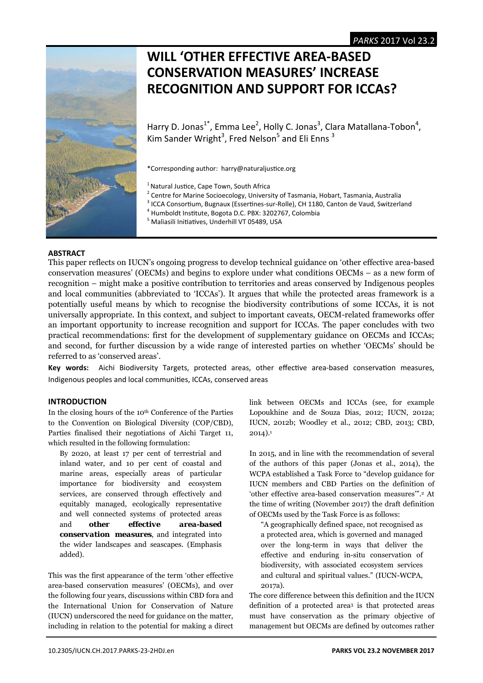

# **WILL 'OTHER EFFECTIVE AREA‐BASED CONSERVATION MEASURES' INCREASE RECOGNITION AND SUPPORT FOR ICCAS?**

Harry D. Jonas<sup>1\*</sup>, Emma Lee<sup>2</sup>, Holly C. Jonas<sup>3</sup>, Clara Matallana-Tobon<sup>4</sup>, Kim Sander Wright<sup>3</sup>, Fred Nelson<sup>5</sup> and Eli Enns<sup>3</sup>

\*Corresponding author: harry@naturaljusƟce.org

<sup>1</sup> Natural Justice, Cape Town, South Africa

<sup>2</sup> Centre for Marine Socioecology, University of Tasmania, Hobart, Tasmania, Australia<br><sup>3</sup> ICCA Consectium, Bugnaux (Essettines sur Bolle), CH 1180, Canton de Vaud, Switzerk

- $3$  ICCA Consortium, Bugnaux (Essertines-sur-Rolle), CH 1180, Canton de Vaud, Switzerland
- <sup>4</sup> Humboldt Institute, Bogota D.C. PBX: 3202767, Colombia
- <sup>5</sup> Maliasili Initiatives, Underhill VT 05489, USA

# **ABSTRACT**

This paper reflects on IUCN's ongoing progress to develop technical guidance on 'other effective area-based conservation measures' (OECMs) and begins to explore under what conditions OECMs – as a new form of recognition – might make a positive contribution to territories and areas conserved by Indigenous peoples and local communities (abbreviated to 'ICCAs'). It argues that while the protected areas framework is a potentially useful means by which to recognise the biodiversity contributions of some ICCAs, it is not universally appropriate. In this context, and subject to important caveats, OECM-related frameworks offer an important opportunity to increase recognition and support for ICCAs. The paper concludes with two practical recommendations: first for the development of supplementary guidance on OECMs and ICCAs; and second, for further discussion by a wide range of interested parties on whether 'OECMs' should be referred to as 'conserved areas'.

Key words: Aichi Biodiversity Targets, protected areas, other effective area-based conservation measures, Indigenous peoples and local communities, ICCAs, conserved areas

# **INTRODUCTION**

In the closing hours of the 10th Conference of the Parties to the Convention on Biological Diversity (COP/CBD), Parties finalised their negotiations of Aichi Target 11, which resulted in the following formulation:

By 2020, at least 17 per cent of terrestrial and inland water, and 10 per cent of coastal and marine areas, especially areas of particular importance for biodiversity and ecosystem services, are conserved through effectively and equitably managed, ecologically representative and well connected systems of protected areas and *other effective area-based conservation measures*, and integrated into the wider landscapes and seascapes. (Emphasis added).

This was the first appearance of the term 'other effective area-based conservation measures' (OECMs), and over the following four years, discussions within CBD fora and the International Union for Conservation of Nature (IUCN) underscored the need for guidance on the matter, including in relation to the potential for making a direct

link between OECMs and ICCAs (see, for example Lopoukhine and de Souza Dias, 2012; IUCN, 2012a; IUCN, 2012b; Woodley et al., 2012; CBD, 2013; CBD,  $2014$ ).<sup>1</sup>

In 2015, and in line with the recommendation of several of the authors of this paper (Jonas et al., 2014), the WCPA established a Task Force to "develop guidance for IUCN members and CBD Parties on the definition of 'other effective area-based conservation measures'".2 At the time of writing (November 2017) the draft definition of OECMs used by the Task Force is as follows:

"A geographically defined space, not recognised as a protected area, which is governed and managed over the long-term in ways that deliver the effective and enduring in-situ conservation of biodiversity, with associated ecosystem services and cultural and spiritual values." (IUCN-WCPA, 2017a).

The core difference between this definition and the IUCN definition of a protected area3 is that protected areas must have conservation as the primary objective of management but OECMs are defined by outcomes rather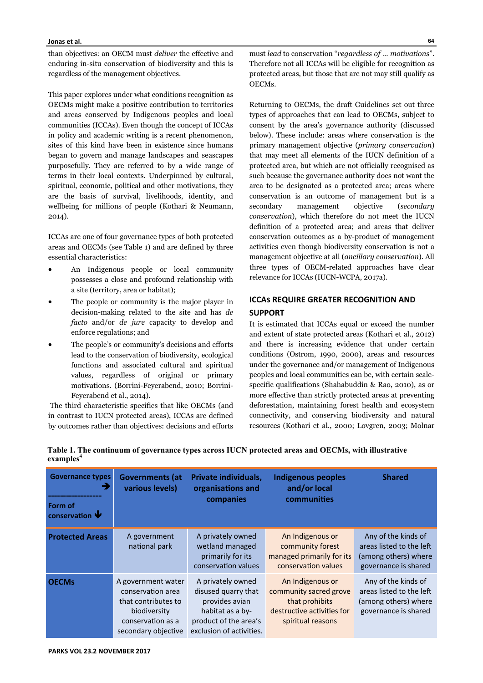than objectives: an OECM must *deliver* the effective and enduring in-situ conservation of biodiversity and this is regardless of the management objectives.

This paper explores under what conditions recognition as OECMs might make a positive contribution to territories and areas conserved by Indigenous peoples and local communities (ICCAs). Even though the concept of ICCAs in policy and academic writing is a recent phenomenon, sites of this kind have been in existence since humans began to govern and manage landscapes and seascapes purposefully. They are referred to by a wide range of terms in their local contexts. Underpinned by cultural, spiritual, economic, political and other motivations, they are the basis of survival, livelihoods, identity, and wellbeing for millions of people (Kothari & Neumann, 2014).

ICCAs are one of four governance types of both protected areas and OECMs (see Table 1) and are defined by three essential characteristics:

- An Indigenous people or local community possesses a close and profound relationship with a site (territory, area or habitat);
- The people or community is the major player in decision-making related to the site and has *de facto* and/or *de jure* capacity to develop and enforce regulations; and
- The people's or community's decisions and efforts lead to the conservation of biodiversity, ecological functions and associated cultural and spiritual values, regardless of original or primary motivations. (Borrini-Feyerabend, 2010; Borrini-Feyerabend et al., 2014).

 The third characteristic specifies that like OECMs (and in contrast to IUCN protected areas), ICCAs are defined by outcomes rather than objectives: decisions and efforts

must *lead* to conservation "*regardless of … motivations*". Therefore not all ICCAs will be eligible for recognition as protected areas, but those that are not may still qualify as OECMs.

Returning to OECMs, the draft Guidelines set out three types of approaches that can lead to OECMs, subject to consent by the area's governance authority (discussed below). These include: areas where conservation is the primary management objective (*primary conservation*) that may meet all elements of the IUCN definition of a protected area, but which are not officially recognised as such because the governance authority does not want the area to be designated as a protected area; areas where conservation is an outcome of management but is a secondary management objective (*secondary conservation*), which therefore do not meet the IUCN definition of a protected area; and areas that deliver conservation outcomes as a by-product of management activities even though biodiversity conservation is not a management objective at all (*ancillary conservation*). All three types of OECM-related approaches have clear relevance for ICCAs (IUCN-WCPA, 2017a).

# **ICCAS REQUIRE GREATER RECOGNITION AND SUPPORT**

It is estimated that ICCAs equal or exceed the number and extent of state protected areas (Kothari et al., 2012) and there is increasing evidence that under certain conditions (Ostrom, 1990, 2000), areas and resources under the governance and/or management of Indigenous peoples and local communities can be, with certain scalespecific qualifications (Shahabuddin & Rao, 2010), as or more effective than strictly protected areas at preventing deforestation, maintaining forest health and ecosystem connectivity, and conserving biodiversity and natural resources (Kothari et al*.*, 2000; Lovgren, 2003; Molnar

| <b>Governance types</b><br>Form of<br>conservation $\blacktriangledown$ | <b>Governments (at</b><br>various levels)                                                                                  | Private individuals,<br>organisations and<br>companies                                                                              | <b>Indigenous peoples</b><br>and/or local<br>communities                                                        | <b>Shared</b>                                                                                   |
|-------------------------------------------------------------------------|----------------------------------------------------------------------------------------------------------------------------|-------------------------------------------------------------------------------------------------------------------------------------|-----------------------------------------------------------------------------------------------------------------|-------------------------------------------------------------------------------------------------|
| <b>Protected Areas</b>                                                  | A government<br>national park                                                                                              | A privately owned<br>wetland managed<br>primarily for its<br>conservation values                                                    | An Indigenous or<br>community forest<br>managed primarily for its<br>conservation values                        | Any of the kinds of<br>areas listed to the left<br>(among others) where<br>governance is shared |
| <b>OECMs</b>                                                            | A government water<br>conservation area<br>that contributes to<br>biodiversity<br>conservation as a<br>secondary objective | A privately owned<br>disused quarry that<br>provides avian<br>habitat as a by-<br>product of the area's<br>exclusion of activities. | An Indigenous or<br>community sacred grove<br>that prohibits<br>destructive activities for<br>spiritual reasons | Any of the kinds of<br>areas listed to the left<br>(among others) where<br>governance is shared |

**Table 1. The continuum of governance types across IUCN protected areas and OECMs, with illustrative**  examples<sup>4</sup>

**64**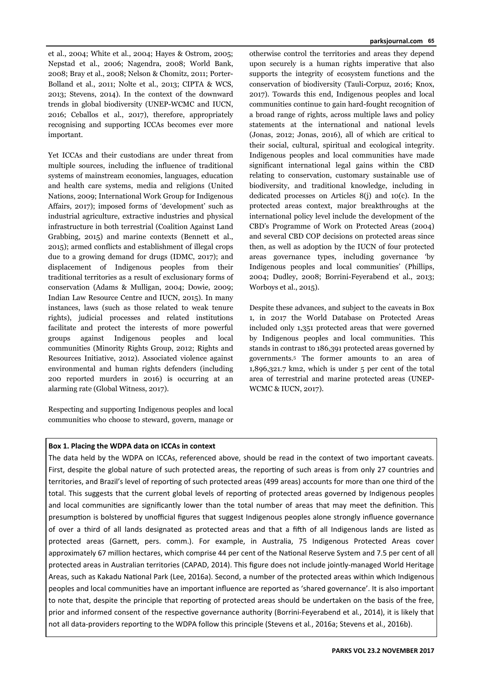et al*.*, 2004; White et al., 2004; Hayes & Ostrom, 2005; Nepstad et al*.*, 2006; Nagendra, 2008; World Bank, 2008; Bray et al*.*, 2008; Nelson & Chomitz, 2011; Porter-Bolland et al*.*, 2011; Nolte et al*.*, 2013; CIPTA & WCS, 2013; Stevens, 2014). In the context of the downward trends in global biodiversity (UNEP-WCMC and IUCN, 2016; Ceballos et al., 2017), therefore, appropriately recognising and supporting ICCAs becomes ever more important.

Yet ICCAs and their custodians are under threat from multiple sources, including the influence of traditional systems of mainstream economies, languages, education and health care systems, media and religions (United Nations, 2009; International Work Group for Indigenous Affairs, 2017); imposed forms of 'development' such as industrial agriculture, extractive industries and physical infrastructure in both terrestrial (Coalition Against Land Grabbing, 2015) and marine contexts (Bennett et al., 2015); armed conflicts and establishment of illegal crops due to a growing demand for drugs (IDMC, 2017); and displacement of Indigenous peoples from their traditional territories as a result of exclusionary forms of conservation (Adams & Mulligan, 2004; Dowie, 2009; Indian Law Resource Centre and IUCN, 2015). In many instances, laws (such as those related to weak tenure rights), judicial processes and related institutions facilitate and protect the interests of more powerful groups against Indigenous peoples and local communities (Minority Rights Group, 2012; Rights and Resources Initiative, 2012). Associated violence against environmental and human rights defenders (including 200 reported murders in 2016) is occurring at an alarming rate (Global Witness, 2017).

Respecting and supporting Indigenous peoples and local communities who choose to steward, govern, manage or otherwise control the territories and areas they depend upon securely is a human rights imperative that also supports the integrity of ecosystem functions and the conservation of biodiversity (Tauli-Corpuz, 2016; Knox, 2017). Towards this end, Indigenous peoples and local communities continue to gain hard-fought recognition of a broad range of rights, across multiple laws and policy statements at the international and national levels (Jonas, 2012; Jonas, 2016), all of which are critical to their social, cultural, spiritual and ecological integrity. Indigenous peoples and local communities have made significant international legal gains within the CBD relating to conservation, customary sustainable use of biodiversity, and traditional knowledge, including in dedicated processes on Articles 8(j) and 10(c). In the protected areas context, major breakthroughs at the international policy level include the development of the CBD's Programme of Work on Protected Areas (2004) and several CBD COP decisions on protected areas since then, as well as adoption by the IUCN of four protected areas governance types, including governance 'by Indigenous peoples and local communities' (Phillips, 2004; Dudley, 2008; Borrini-Feyerabend et al., 2013; Worboys et al., 2015).

Despite these advances, and subject to the caveats in Box 1, in 2017 the World Database on Protected Areas included only 1,351 protected areas that were governed by Indigenous peoples and local communities. This stands in contrast to 186,391 protected areas governed by governments.5 The former amounts to an area of 1,896,321.7 km2, which is under 5 per cent of the total area of terrestrial and marine protected areas (UNEP-WCMC & IUCN, 2017).

# **Box 1. Placing the WDPA data on ICCAs in context**

The data held by the WDPA on ICCAs, referenced above, should be read in the context of two important caveats. First, despite the global nature of such protected areas, the reporting of such areas is from only 27 countries and territories, and Brazil's level of reporting of such protected areas (499 areas) accounts for more than one third of the total. This suggests that the current global levels of reporting of protected areas governed by Indigenous peoples and local communities are significantly lower than the total number of areas that may meet the definition. This presumption is bolstered by unofficial figures that suggest Indigenous peoples alone strongly influence governance of over a third of all lands designated as protected areas and that a fifth of all Indigenous lands are listed as protected areas (Garnett, pers. comm.). For example, in Australia, 75 Indigenous Protected Areas cover approximately 67 million hectares, which comprise 44 per cent of the National Reserve System and 7.5 per cent of all protected areas in Australian territories (CAPAD, 2014). This figure does not include jointly-managed World Heritage Areas, such as Kakadu National Park (Lee, 2016a). Second, a number of the protected areas within which Indigenous peoples and local communities have an important influence are reported as 'shared governance'. It is also important to note that, despite the principle that reporting of protected areas should be undertaken on the basis of the free, prior and informed consent of the respective governance authority (Borrini-Feyerabend et al., 2014), it is likely that not all data-providers reporting to the WDPA follow this principle (Stevens et al., 2016a; Stevens et al., 2016b).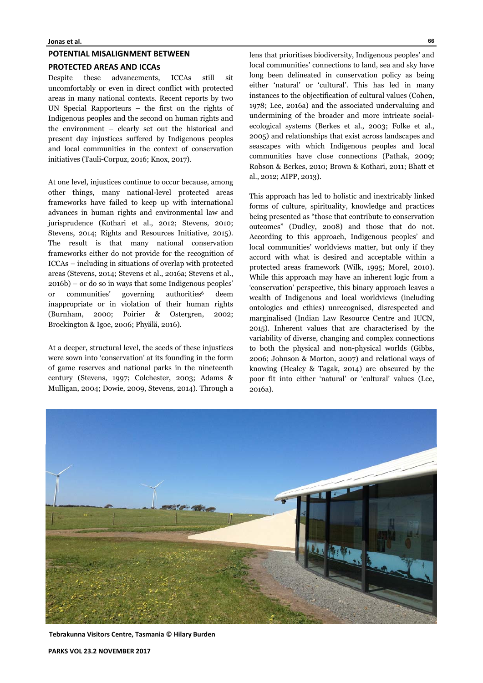#### **POTENTIAL MISALIGNMENT BETWEEN**

# **PROTECTED AREAS AND ICCAS**

Despite these advancements, ICCAs still sit uncomfortably or even in direct conflict with protected areas in many national contexts. Recent reports by two UN Special Rapporteurs – the first on the rights of Indigenous peoples and the second on human rights and the environment – clearly set out the historical and present day injustices suffered by Indigenous peoples and local communities in the context of conservation initiatives (Tauli-Corpuz, 2016; Knox, 2017).

At one level, injustices continue to occur because, among other things, many national-level protected areas frameworks have failed to keep up with international advances in human rights and environmental law and jurisprudence (Kothari et al., 2012; Stevens, 2010; Stevens, 2014; Rights and Resources Initiative, 2015). The result is that many national conservation frameworks either do not provide for the recognition of ICCAs – including in situations of overlap with protected areas (Stevens, 2014; Stevens et al., 2016a; Stevens et al., 2016b) – or do so in ways that some Indigenous peoples' or communities' governing authorities<sup>6</sup> deem inappropriate or in violation of their human rights (Burnham, 2000; Poirier & Ostergren, 2002; Brockington & Igoe, 2006; Phyälä, 2016).

At a deeper, structural level, the seeds of these injustices were sown into 'conservation' at its founding in the form of game reserves and national parks in the nineteenth century (Stevens, 1997; Colchester, 2003; Adams & Mulligan, 2004; Dowie, 2009, Stevens, 2014). Through a

lens that prioritises biodiversity, Indigenous peoples' and local communities' connections to land, sea and sky have long been delineated in conservation policy as being either 'natural' or 'cultural'. This has led in many instances to the objectification of cultural values (Cohen, 1978; Lee, 2016a) and the associated undervaluing and undermining of the broader and more intricate socialecological systems (Berkes et al*.*, 2003; Folke et al*.*, 2005) and relationships that exist across landscapes and seascapes with which Indigenous peoples and local communities have close connections (Pathak, 2009; Robson & Berkes, 2010; Brown & Kothari, 2011; Bhatt et al*.*, 2012; AIPP, 2013).

This approach has led to holistic and inextricably linked forms of culture, spirituality, knowledge and practices being presented as "those that contribute to conservation outcomes" (Dudley, 2008) and those that do not. According to this approach, Indigenous peoples' and local communities' worldviews matter, but only if they accord with what is desired and acceptable within a protected areas framework (Wilk, 1995; Morel, 2010). While this approach may have an inherent logic from a 'conservation' perspective, this binary approach leaves a wealth of Indigenous and local worldviews (including ontologies and ethics) unrecognised, disrespected and marginalised (Indian Law Resource Centre and IUCN, 2015). Inherent values that are characterised by the variability of diverse, changing and complex connections to both the physical and non-physical worlds (Gibbs, 2006; Johnson & Morton, 2007) and relational ways of knowing (Healey & Tagak, 2014) are obscured by the poor fit into either 'natural' or 'cultural' values (Lee, 2016a).



**Tebrakunna Visitors Centre, Tasmania © Hilary Burden**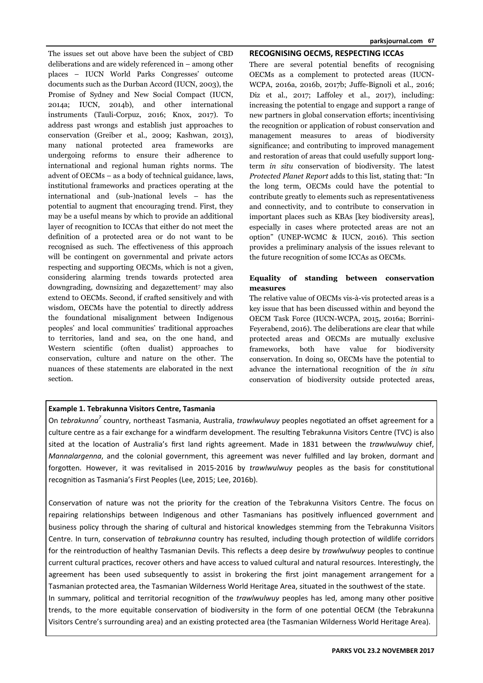The issues set out above have been the subject of CBD deliberations and are widely referenced in – among other places – IUCN World Parks Congresses' outcome documents such as the Durban Accord (IUCN, 2003), the Promise of Sydney and New Social Compact (IUCN, 2014a; IUCN, 2014b), and other international instruments (Tauli-Corpuz, 2016; Knox, 2017). To address past wrongs and establish just approaches to conservation (Greiber et al., 2009; Kashwan, 2013), many national protected area frameworks are undergoing reforms to ensure their adherence to international and regional human rights norms. The advent of OECMs – as a body of technical guidance, laws, institutional frameworks and practices operating at the international and (sub-)national levels – has the potential to augment that encouraging trend. First, they may be a useful means by which to provide an additional layer of recognition to ICCAs that either do not meet the definition of a protected area or do not want to be recognised as such. The effectiveness of this approach will be contingent on governmental and private actors respecting and supporting OECMs, which is not a given, considering alarming trends towards protected area downgrading, downsizing and degazettement<sup>7</sup> may also extend to OECMs. Second, if crafted sensitively and with wisdom, OECMs have the potential to directly address the foundational misalignment between Indigenous peoples' and local communities' traditional approaches to territories, land and sea, on the one hand, and Western scientific (often dualist) approaches to conservation, culture and nature on the other. The nuances of these statements are elaborated in the next section.

#### **RECOGNISING OECMS, RESPECTING ICCAS**

There are several potential benefits of recognising OECMs as a complement to protected areas (IUCN-WCPA, 2016a, 2016b, 2017b; Juffe-Bignoli et al., 2016; Diz et al., 2017; Laffoley et al., 2017), including: increasing the potential to engage and support a range of new partners in global conservation efforts; incentivising the recognition or application of robust conservation and management measures to areas of biodiversity significance; and contributing to improved management and restoration of areas that could usefully support longterm *in situ* conservation of biodiversity. The latest *Protected Planet Report* adds to this list, stating that: "In the long term, OECMs could have the potential to contribute greatly to elements such as representativeness and connectivity, and to contribute to conservation in important places such as KBAs [key biodiversity areas], especially in cases where protected areas are not an option" (UNEP-WCMC & IUCN, 2016). This section provides a preliminary analysis of the issues relevant to the future recognition of some ICCAs as OECMs.

# **Equality of standing between conservation measures**

The relative value of OECMs vis-à-vis protected areas is a key issue that has been discussed within and beyond the OECM Task Force (IUCN-WCPA, 2015, 2016a; Borrini-Feyerabend, 2016). The deliberations are clear that while protected areas and OECMs are mutually exclusive frameworks, both have value for biodiversity conservation. In doing so, OECMs have the potential to advance the international recognition of the *in situ* conservation of biodiversity outside protected areas,

# **Example 1. Tebrakunna Visitors Centre, Tasmania**

On tebrakunna<sup>7</sup> country, northeast Tasmania, Australia, trawlwulwuy peoples negotiated an offset agreement for a culture centre as a fair exchange for a windfarm development. The resulting Tebrakunna Visitors Centre (TVC) is also sited at the location of Australia's first land rights agreement. Made in 1831 between the *trawlwulwuy* chief, *Mannalargenna*, and the colonial government, this agreement was never fulfilled and lay broken, dormant and forgotten. However, it was revitalised in 2015-2016 by *trawlwulwuy* peoples as the basis for constitutional recognition as Tasmania's First Peoples (Lee, 2015; Lee, 2016b).

Conservation of nature was not the priority for the creation of the Tebrakunna Visitors Centre. The focus on repairing relationships between Indigenous and other Tasmanians has positively influenced government and business policy through the sharing of cultural and historical knowledges stemming from the Tebrakunna Visitors Centre. In turn, conservation of *tebrakunna* country has resulted, including though protection of wildlife corridors for the reintroduction of healthy Tasmanian Devils. This reflects a deep desire by *trawlwulwuy* peoples to continue current cultural practices, recover others and have access to valued cultural and natural resources. Interestingly, the agreement has been used subsequently to assist in brokering the first joint management arrangement for a Tasmanian protected area, the Tasmanian Wilderness World Heritage Area, situated in the southwest of the state. In summary, political and territorial recognition of the *trawlwulwuy* peoples has led, among many other positive trends, to the more equitable conservation of biodiversity in the form of one potential OECM (the Tebrakunna

Visitors Centre's surrounding area) and an existing protected area (the Tasmanian Wilderness World Heritage Area).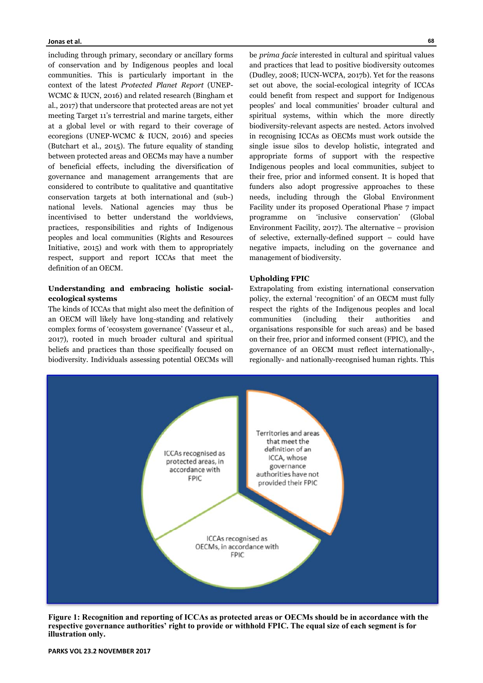including through primary, secondary or ancillary forms of conservation and by Indigenous peoples and local communities. This is particularly important in the context of the latest *Protected Planet Report* (UNEP-WCMC & IUCN, 2016) and related research (Bingham et al*.*, 2017) that underscore that protected areas are not yet meeting Target 11's terrestrial and marine targets, either at a global level or with regard to their coverage of ecoregions (UNEP-WCMC & IUCN, 2016) and species (Butchart et al*.*, 2015). The future equality of standing between protected areas and OECMs may have a number of beneficial effects, including the diversification of governance and management arrangements that are considered to contribute to qualitative and quantitative conservation targets at both international and (sub-) national levels. National agencies may thus be incentivised to better understand the worldviews, practices, responsibilities and rights of Indigenous peoples and local communities (Rights and Resources Initiative, 2015) and work with them to appropriately respect, support and report ICCAs that meet the definition of an OECM.

# **Understanding and embracing holistic socialecological systems**

The kinds of ICCAs that might also meet the definition of an OECM will likely have long-standing and relatively complex forms of 'ecosystem governance' (Vasseur et al., 2017), rooted in much broader cultural and spiritual beliefs and practices than those specifically focused on biodiversity. Individuals assessing potential OECMs will

be *prima facie* interested in cultural and spiritual values and practices that lead to positive biodiversity outcomes (Dudley, 2008; IUCN-WCPA, 2017b). Yet for the reasons set out above, the social-ecological integrity of ICCAs could benefit from respect and support for Indigenous peoples' and local communities' broader cultural and spiritual systems, within which the more directly biodiversity-relevant aspects are nested. Actors involved in recognising ICCAs as OECMs must work outside the single issue silos to develop holistic, integrated and appropriate forms of support with the respective Indigenous peoples and local communities, subject to their free, prior and informed consent. It is hoped that funders also adopt progressive approaches to these needs, including through the Global Environment Facility under its proposed Operational Phase 7 impact programme on 'inclusive conservation' (Global Environment Facility, 2017). The alternative – provision of selective, externally-defined support – could have negative impacts, including on the governance and management of biodiversity.

# **Upholding FPIC**

Extrapolating from existing international conservation policy, the external 'recognition' of an OECM must fully respect the rights of the Indigenous peoples and local communities (including their authorities and organisations responsible for such areas) and be based on their free, prior and informed consent (FPIC), and the governance of an OECM must reflect internationally-, regionally- and nationally-recognised human rights. This



**Figure 1: Recognition and reporting of ICCAs as protected areas or OECMs should be in accordance with the respective governance authorities' right to provide or withhold FPIC. The equal size of each segment is for illustration only.**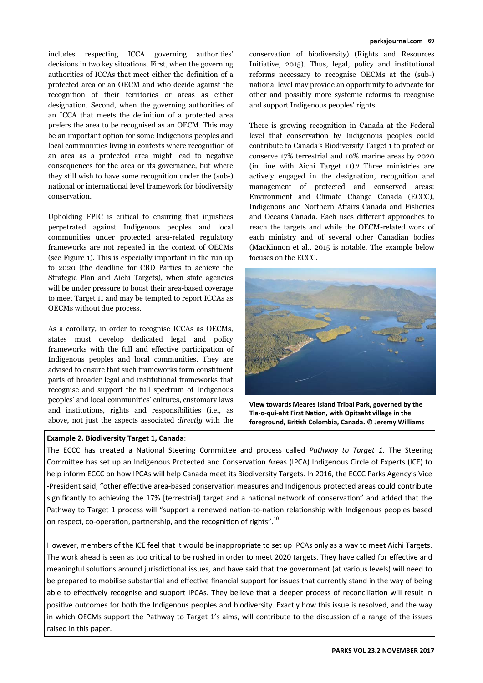includes respecting ICCA governing authorities' decisions in two key situations. First, when the governing authorities of ICCAs that meet either the definition of a protected area or an OECM and who decide against the recognition of their territories or areas as either designation. Second, when the governing authorities of an ICCA that meets the definition of a protected area prefers the area to be recognised as an OECM. This may be an important option for some Indigenous peoples and local communities living in contexts where recognition of an area as a protected area might lead to negative consequences for the area or its governance, but where they still wish to have some recognition under the (sub-) national or international level framework for biodiversity conservation.

Upholding FPIC is critical to ensuring that injustices perpetrated against Indigenous peoples and local communities under protected area-related regulatory frameworks are not repeated in the context of OECMs (see Figure 1). This is especially important in the run up to 2020 (the deadline for CBD Parties to achieve the Strategic Plan and Aichi Targets), when state agencies will be under pressure to boost their area-based coverage to meet Target 11 and may be tempted to report ICCAs as OECMs without due process.

As a corollary, in order to recognise ICCAs as OECMs, states must develop dedicated legal and policy frameworks with the full and effective participation of Indigenous peoples and local communities. They are advised to ensure that such frameworks form constituent parts of broader legal and institutional frameworks that recognise and support the full spectrum of Indigenous peoples' and local communities' cultures, customary laws and institutions, rights and responsibilities (i.e., as above, not just the aspects associated *directly* with the

# **Example 2. Biodiversity Target 1, Canada**:

conservation of biodiversity) (Rights and Resources Initiative, 2015). Thus, legal, policy and institutional reforms necessary to recognise OECMs at the (sub-) national level may provide an opportunity to advocate for other and possibly more systemic reforms to recognise and support Indigenous peoples' rights.

There is growing recognition in Canada at the Federal level that conservation by Indigenous peoples could contribute to Canada's Biodiversity Target 1 to protect or conserve 17% terrestrial and 10% marine areas by 2020 (in line with Aichi Target 11).9 Three ministries are actively engaged in the designation, recognition and management of protected and conserved areas: Environment and Climate Change Canada (ECCC), Indigenous and Northern Affairs Canada and Fisheries and Oceans Canada. Each uses different approaches to reach the targets and while the OECM-related work of each ministry and of several other Canadian bodies (MacKinnon et al*.*, 2015 is notable. The example below focuses on the ECCC.



**View towards Meares Island Tribal Park, governed by the Tla‐o‐qui‐aht First NaƟon, with Opitsaht village in the foreground, BriƟsh Colombia, Canada. © Jeremy Williams** 

The ECCC has created a National Steering Committee and process called *Pathway to Target 1*. The Steering Committee has set up an Indigenous Protected and Conservation Areas (IPCA) Indigenous Circle of Experts (ICE) to help inform ECCC on how IPCAs will help Canada meet its Biodiversity Targets. In 2016, the ECCC Parks Agency's Vice -President said, "other effective area-based conservation measures and Indigenous protected areas could contribute significantly to achieving the 17% [terrestrial] target and a national network of conservation" and added that the Pathway to Target 1 process will "support a renewed nation-to-nation relationship with Indigenous peoples based on respect, co-operation, partnership, and the recognition of rights".<sup>10</sup>

However, members of the ICE feel that it would be inappropriate to set up IPCAs only as a way to meet Aichi Targets. The work ahead is seen as too critical to be rushed in order to meet 2020 targets. They have called for effective and meaningful solutions around jurisdictional issues, and have said that the government (at various levels) will need to be prepared to mobilise substantial and effective financial support for issues that currently stand in the way of being able to effectively recognise and support IPCAs. They believe that a deeper process of reconciliation will result in positive outcomes for both the Indigenous peoples and biodiversity. Exactly how this issue is resolved, and the way in which OECMs support the Pathway to Target 1's aims, will contribute to the discussion of a range of the issues raised in this paper.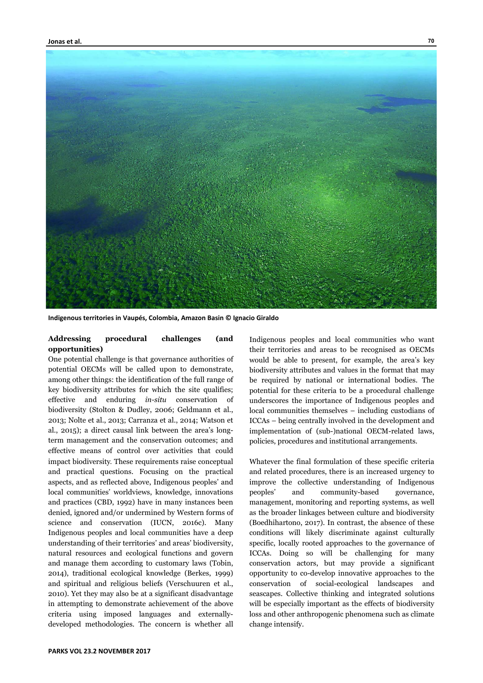

**Indigenous territories in Vaupés, Colombia, Amazon Basin © Ignacio Giraldo** 

# **Addressing procedural challenges (and opportunities)**

One potential challenge is that governance authorities of potential OECMs will be called upon to demonstrate, among other things: the identification of the full range of key biodiversity attributes for which the site qualifies; effective and enduring *in-situ* conservation of biodiversity (Stolton & Dudley, 2006; Geldmann et al*.*, 2013; Nolte et al., 2013; Carranza et al*.*, 2014; Watson et al*.*, 2015); a direct causal link between the area's longterm management and the conservation outcomes; and effective means of control over activities that could impact biodiversity. These requirements raise conceptual and practical questions. Focusing on the practical aspects, and as reflected above, Indigenous peoples' and local communities' worldviews, knowledge, innovations and practices (CBD, 1992) have in many instances been denied, ignored and/or undermined by Western forms of science and conservation (IUCN, 2016c). Many Indigenous peoples and local communities have a deep understanding of their territories' and areas' biodiversity, natural resources and ecological functions and govern and manage them according to customary laws (Tobin, 2014), traditional ecological knowledge (Berkes, 1999) and spiritual and religious beliefs (Verschuuren et al*.*, 2010). Yet they may also be at a significant disadvantage in attempting to demonstrate achievement of the above criteria using imposed languages and externallydeveloped methodologies. The concern is whether all

Indigenous peoples and local communities who want their territories and areas to be recognised as OECMs would be able to present, for example, the area's key biodiversity attributes and values in the format that may be required by national or international bodies. The potential for these criteria to be a procedural challenge underscores the importance of Indigenous peoples and local communities themselves – including custodians of ICCAs – being centrally involved in the development and implementation of (sub-)national OECM-related laws, policies, procedures and institutional arrangements.

Whatever the final formulation of these specific criteria and related procedures, there is an increased urgency to improve the collective understanding of Indigenous peoples' and community-based governance, management, monitoring and reporting systems, as well as the broader linkages between culture and biodiversity (Boedhihartono, 2017). In contrast, the absence of these conditions will likely discriminate against culturally specific, locally rooted approaches to the governance of ICCAs. Doing so will be challenging for many conservation actors, but may provide a significant opportunity to co-develop innovative approaches to the conservation of social-ecological landscapes and seascapes. Collective thinking and integrated solutions will be especially important as the effects of biodiversity loss and other anthropogenic phenomena such as climate change intensify.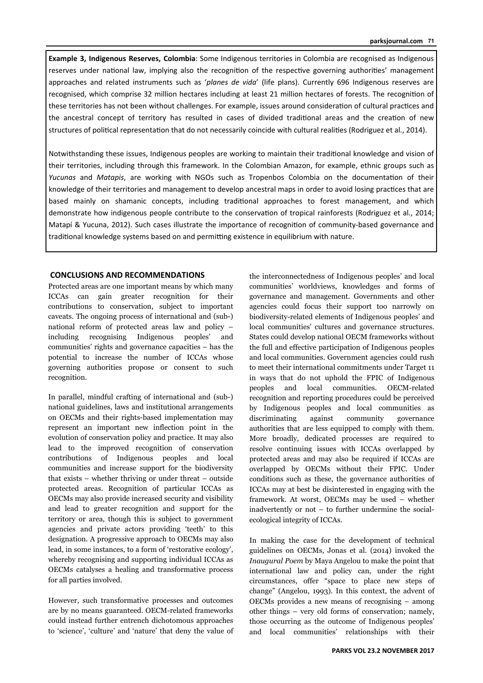**Example 3, Indigenous Reserves, Colombia**: Some Indigenous territories in Colombia are recognised as Indigenous reserves under national law, implying also the recognition of the respective governing authorities' management approaches and related instruments such as '*planes de vida*' (life plans). Currently 696 Indigenous reserves are recognised, which comprise 32 million hectares including at least 21 million hectares of forests. The recognition of these territories has not been without challenges. For example, issues around consideration of cultural practices and the ancestral concept of territory has resulted in cases of divided traditional areas and the creation of new structures of political representation that do not necessarily coincide with cultural realities (Rodriguez et al., 2014).

Notwithstanding these issues, Indigenous peoples are working to maintain their traditional knowledge and vision of their territories, including through this framework. In the Colombian Amazon, for example, ethnic groups such as *Yucunas* and *Matapis*, are working with NGOs such as Tropenbos Colombia on the documentation of their knowledge of their territories and management to develop ancestral maps in order to avoid losing practices that are based mainly on shamanic concepts, including traditional approaches to forest management, and which demonstrate how indigenous people contribute to the conservation of tropical rainforests (Rodriguez et al., 2014; Matapí & Yucuna, 2012). Such cases illustrate the importance of recognition of community-based governance and traditional knowledge systems based on and permitting existence in equilibrium with nature.

# **CONCLUSIONS AND RECOMMENDATIONS**

Protected areas are one important means by which many ICCAs can gain greater recognition for their contributions to conservation, subject to important caveats. The ongoing process of international and (sub-) national reform of protected areas law and policy – including recognising Indigenous peoples' and communities' rights and governance capacities – has the potential to increase the number of ICCAs whose governing authorities propose or consent to such recognition.

In parallel, mindful crafting of international and (sub-) national guidelines, laws and institutional arrangements on OECMs and their rights-based implementation may represent an important new inflection point in the evolution of conservation policy and practice. It may also lead to the improved recognition of conservation contributions of Indigenous peoples and local communities and increase support for the biodiversity that exists – whether thriving or under threat – outside protected areas. Recognition of particular ICCAs as OECMs may also provide increased security and visibility and lead to greater recognition and support for the territory or area, though this is subject to government agencies and private actors providing 'teeth' to this designation. A progressive approach to OECMs may also lead, in some instances, to a form of 'restorative ecology', whereby recognising and supporting individual ICCAs as OECMs catalyses a healing and transformative process for all parties involved.

However, such transformative processes and outcomes are by no means guaranteed. OECM-related frameworks could instead further entrench dichotomous approaches to 'science', 'culture' and 'nature' that deny the value of the interconnectedness of Indigenous peoples' and local communities' worldviews, knowledges and forms of governance and management. Governments and other agencies could focus their support too narrowly on biodiversity-related elements of Indigenous peoples' and local communities' cultures and governance structures. States could develop national OECM frameworks without the full and effective participation of Indigenous peoples and local communities. Government agencies could rush to meet their international commitments under Target 11 in ways that do not uphold the FPIC of Indigenous peoples and local communities. OECM-related recognition and reporting procedures could be perceived by Indigenous peoples and local communities as discriminating against community governance authorities that are less equipped to comply with them. More broadly, dedicated processes are required to resolve continuing issues with ICCAs overlapped by protected areas and may also be required if ICCAs are overlapped by OECMs without their FPIC. Under conditions such as these, the governance authorities of ICCAs may at best be disinterested in engaging with the framework. At worst, OECMs may be used – whether inadvertently or not – to further undermine the socialecological integrity of ICCAs.

In making the case for the development of technical guidelines on OECMs, Jonas et al. (2014) invoked the *Inaugural Poem* by Maya Angelou to make the point that international law and policy can, under the right circumstances, offer "space to place new steps of change" (Angelou, 1993). In this context, the advent of OECMs provides a new means of recognising – among other things – very old forms of conservation; namely, those occurring as the outcome of Indigenous peoples' and local communities' relationships with their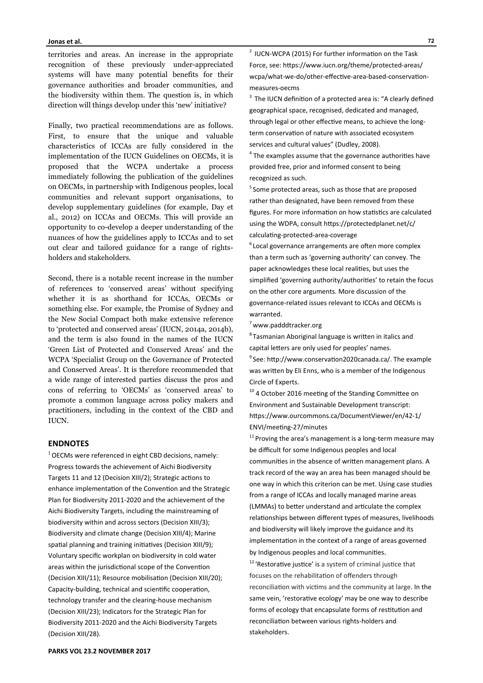territories and areas. An increase in the appropriate recognition of these previously under-appreciated systems will have many potential benefits for their governance authorities and broader communities, and the biodiversity within them. The question is, in which direction will things develop under this 'new' initiative?

Finally, two practical recommendations are as follows. First, to ensure that the unique and valuable characteristics of ICCAs are fully considered in the implementation of the IUCN Guidelines on OECMs, it is proposed that the WCPA undertake a process immediately following the publication of the guidelines on OECMs, in partnership with Indigenous peoples, local communities and relevant support organisations, to develop supplementary guidelines (for example, Day et al*.*, 2012) on ICCAs and OECMs. This will provide an opportunity to co-develop a deeper understanding of the nuances of how the guidelines apply to ICCAs and to set out clear and tailored guidance for a range of rightsholders and stakeholders.

Second, there is a notable recent increase in the number of references to 'conserved areas' without specifying whether it is as shorthand for ICCAs, OECMs or something else. For example, the Promise of Sydney and the New Social Compact both make extensive reference to 'protected and conserved areas' (IUCN, 2014a, 2014b), and the term is also found in the names of the IUCN 'Green List of Protected and Conserved Areas' and the WCPA 'Specialist Group on the Governance of Protected and Conserved Areas'. It is therefore recommended that a wide range of interested parties discuss the pros and cons of referring to 'OECMs' as 'conserved areas' to promote a common language across policy makers and practitioners, including in the context of the CBD and IUCN.

#### **ENDNOTES**

 $1$  OECMs were referenced in eight CBD decisions, namely: Progress towards the achievement of Aichi Biodiversity Targets 11 and 12 (Decision XIII/2); Strategic actions to enhance implementation of the Convention and the Strategic Plan for Biodiversity 2011-2020 and the achievement of the Aichi Biodiversity Targets, including the mainstreaming of biodiversity within and across sectors (Decision XIII/3); Biodiversity and climate change (Decision XIII/4); Marine spatial planning and training initiatives (Decision XIII/9); Voluntary specific workplan on biodiversity in cold water areas within the jurisdictional scope of the Convention (Decision XIII/11); Resource mobilisation (Decision XIII/20); Capacity-building, technical and scientific cooperation, technology transfer and the clearing-house mechanism (Decision XIII/23); Indicators for the Strategic Plan for Biodiversity 2011-2020 and the Aichi Biodiversity Targets (Decision XIII/28).

**PARKS VOL 23.2 NOVEMBER 2017**

 $2$  IUCN-WCPA (2015) For further information on the Task Force, see: https://www.iucn.org/theme/protected-areas/ wcpa/what-we-do/other-effective-area-based-conservationmeasures-oecms

 $3$  The IUCN definition of a protected area is: "A clearly defined geographical space, recognised, dedicated and managed, through legal or other effective means, to achieve the longterm conservation of nature with associated ecosystem services and cultural values" (Dudley, 2008).

 $4$  The examples assume that the governance authorities have provided free, prior and informed consent to being recognized as such.

<sup>5</sup> Some protected areas, such as those that are proposed rather than designated, have been removed from these figures. For more information on how statistics are calculated using the WDPA, consult https://protectedplanet.net/c/ calculating-protected-area-coverage

 $6$  Local governance arrangements are often more complex than a term such as 'governing authority' can convey. The paper acknowledges these local realities, but uses the simplified 'governing authority/authorities' to retain the focus on the other core arguments. More discussion of the governance-related issues relevant to ICCAs and OECMs is warranted.

 $7$  www.padddtracker.org

 $8$ Tasmanian Aboriginal language is written in italics and capital letters are only used for peoples' names.

<sup>9</sup> See: http://www.conservation2020canada.ca/. The example was written by Eli Enns, who is a member of the Indigenous Circle of Experts.

 $10$  4 October 2016 meeting of the Standing Committee on Environment and Sustainable Development transcript: https://www.ourcommons.ca/DocumentViewer/en/42-1/ ENVI/meeting-27/minutes

 $11$  Proving the area's management is a long-term measure may be difficult for some Indigenous peoples and local communities in the absence of written management plans. A track record of the way an area has been managed should be one way in which this criterion can be met. Using case studies from a range of ICCAs and locally managed marine areas (LMMAs) to better understand and articulate the complex relationships between different types of measures, livelihoods and biodiversity will likely improve the guidance and its implementation in the context of a range of areas governed by Indigenous peoples and local communities.  $12$  'Restorative justice' is a system of criminal justice that focuses on the rehabilitation of offenders through reconciliation with victims and the community at large. In the same vein, 'restorative ecology' may be one way to describe forms of ecology that encapsulate forms of restitution and reconciliation between various rights-holders and stakeholders.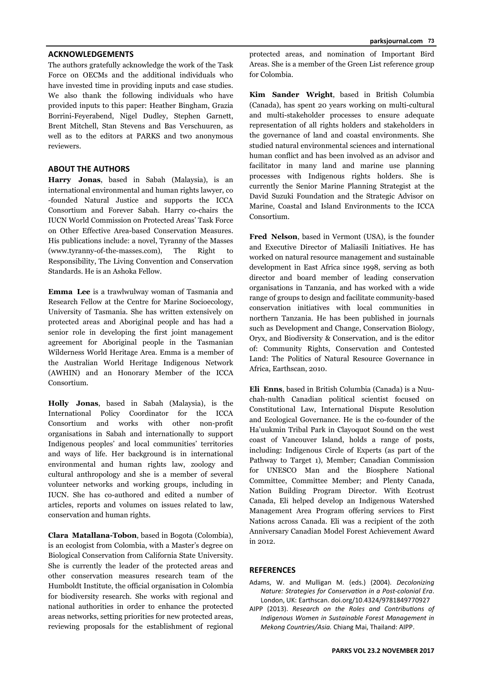#### **ACKNOWLEDGEMENTS**

The authors gratefully acknowledge the work of the Task Force on OECMs and the additional individuals who have invested time in providing inputs and case studies. We also thank the following individuals who have provided inputs to this paper: Heather Bingham, Grazia Borrini-Feyerabend, Nigel Dudley, Stephen Garnett, Brent Mitchell, Stan Stevens and Bas Verschuuren, as well as to the editors at PARKS and two anonymous reviewers.

# **ABOUT THE AUTHORS**

**Harry Jonas**, based in Sabah (Malaysia), is an international environmental and human rights lawyer, co -founded Natural Justice and supports the ICCA Consortium and Forever Sabah. Harry co-chairs the IUCN World Commission on Protected Areas' Task Force on Other Effective Area-based Conservation Measures. His publications include: a novel, Tyranny of the Masses (www.tyranny-of-the-masses.com), The Right to Responsibility, The Living Convention and Conservation Standards. He is an Ashoka Fellow.

**Emma Lee** is a trawlwulway woman of Tasmania and Research Fellow at the Centre for Marine Socioecology, University of Tasmania. She has written extensively on protected areas and Aboriginal people and has had a senior role in developing the first joint management agreement for Aboriginal people in the Tasmanian Wilderness World Heritage Area. Emma is a member of the Australian World Heritage Indigenous Network (AWHIN) and an Honorary Member of the ICCA Consortium.

**Holly Jonas**, based in Sabah (Malaysia), is the International Policy Coordinator for the ICCA Consortium and works with other non-profit organisations in Sabah and internationally to support Indigenous peoples' and local communities' territories and ways of life. Her background is in international environmental and human rights law, zoology and cultural anthropology and she is a member of several volunteer networks and working groups, including in IUCN. She has co-authored and edited a number of articles, reports and volumes on issues related to law, conservation and human rights.

**Clara Matallana-Tobon**, based in Bogota (Colombia), is an ecologist from Colombia, with a Master's degree on Biological Conservation from California State University. She is currently the leader of the protected areas and other conservation measures research team of the Humboldt Institute, the official organisation in Colombia for biodiversity research. She works with regional and national authorities in order to enhance the protected areas networks, setting priorities for new protected areas, reviewing proposals for the establishment of regional

protected areas, and nomination of Important Bird Areas. She is a member of the Green List reference group for Colombia.

**Kim Sander Wright**, based in British Columbia (Canada), has spent 20 years working on multi-cultural and multi-stakeholder processes to ensure adequate representation of all rights holders and stakeholders in the governance of land and coastal environments. She studied natural environmental sciences and international human conflict and has been involved as an advisor and facilitator in many land and marine use planning processes with Indigenous rights holders. She is currently the Senior Marine Planning Strategist at the David Suzuki Foundation and the Strategic Advisor on Marine, Coastal and Island Environments to the ICCA Consortium.

**Fred Nelson**, based in Vermont (USA), is the founder and Executive Director of Maliasili Initiatives. He has worked on natural resource management and sustainable development in East Africa since 1998, serving as both director and board member of leading conservation organisations in Tanzania, and has worked with a wide range of groups to design and facilitate community-based conservation initiatives with local communities in northern Tanzania. He has been published in journals such as Development and Change, Conservation Biology, Oryx, and Biodiversity & Conservation, and is the editor of: Community Rights, Conservation and Contested Land: The Politics of Natural Resource Governance in Africa, Earthscan, 2010.

**Eli Enns**, based in British Columbia (Canada) is a Nuuchah-nulth Canadian political scientist focused on Constitutional Law, International Dispute Resolution and Ecological Governance. He is the co-founder of the Ha'uukmin Tribal Park in Clayoquot Sound on the west coast of Vancouver Island, holds a range of posts, including: Indigenous Circle of Experts (as part of the Pathway to Target 1), Member; Canadian Commission for UNESCO Man and the Biosphere National Committee, Committee Member; and Plenty Canada, Nation Building Program Director. With Ecotrust Canada, Eli helped develop an Indigenous Watershed Management Area Program offering services to First Nations across Canada. Eli was a recipient of the 20th Anniversary Canadian Model Forest Achievement Award in 2012.

#### **REFERENCES**

- Adams, W. and Mulligan M. (eds.) (2004). *Decolonizing Nature: Strategies for ConservaƟon in a Post‐colonial Era*. London, UK: Earthscan. doi.org/10.4324/9781849770927
- AIPP (2013). Research on the Roles and Contributions of *Indigenous Women in Sustainable Forest Management in Mekong Countries/Asia.* Chiang Mai, Thailand: AIPP.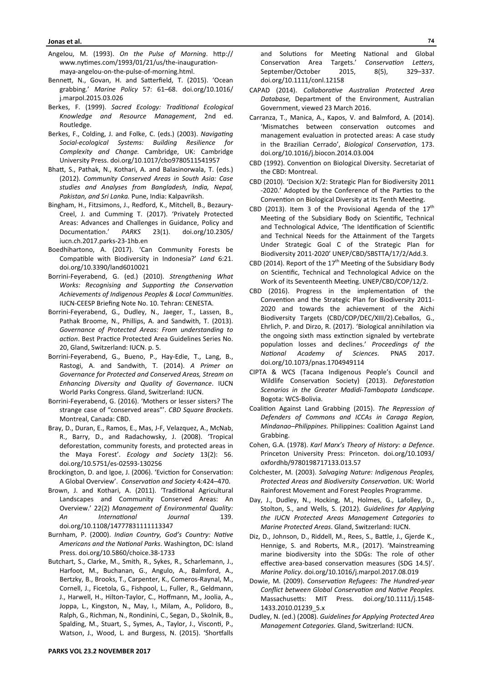- Angelou, M. (1993). On the Pulse of Morning. http:// www.nytimes.com/1993/01/21/us/the-inaugurationmaya-angelou-on-the-pulse-of-morning.html.
- Bennett, N., Govan, H. and Satterfield, T. (2015). 'Ocean grabbing.' *Marine Policy* 57: 61–68. doi.org/10.1016/ j.marpol.2015.03.026
- Berkes, F. (1999). *Sacred Ecology: Traditional Ecological Knowledge and Resource Management*, 2nd ed. Routledge.
- Berkes, F., Colding, J. and Folke, C. (eds.) (2003). *Navigating Social‐ecological Systems: Building Resilience for Complexity and Change.* Cambridge, UK: Cambridge University Press. doi.org/10.1017/cbo9780511541957
- BhaƩ, S., Pathak, N., Kothari, A. and Balasinorwala, T. (eds.) (2012). *Community Conserved Areas in South Asia: Case studies and Analyses from Bangladesh, India, Nepal, Pakistan, and Sri Lanka.* Pune, India: Kalpavriksh.
- Bingham, H., Fitzsimons, J., Redford, K., Mitchell, B., Bezaury-Creel, J. and Cumming T. (2017). 'Privately Protected Areas: Advances and Challenges in Guidance, Policy and DocumentaƟon.' *PARKS* 23(1). doi.org/10.2305/ iucn.ch.2017.parks-23-1hb.en
- Boedhihartono, A. (2017). 'Can Community Forests be CompaƟble with Biodiversity in Indonesia?' *Land* 6:21. doi.org/10.3390/land6010021
- Borrini-Feyerabend, G. (ed.) (2010). *Strengthening What*  Works: Recognising and Supporting the Conservation Achievements of Indigenous Peoples & Local Communities. IUCN-CEESP Briefing Note No. 10. Tehran: CENESTA.
- Borrini-Feyerabend, G., Dudley, N., Jaeger, T., Lassen, B., Pathak Broome, N., Phillips, A. and Sandwith, T. (2013). *Governance of Protected Areas: From understanding to acƟon*. Best PracƟce Protected Area Guidelines Series No. 20, Gland, Switzerland: IUCN. p. 5.
- Borrini-Feyerabend, G., Bueno, P., Hay-Edie, T., Lang, B., Rastogi, A. and Sandwith, T. (2014). *A Primer on Governance for Protected and Conserved Areas, Stream on Enhancing Diversity and Quality of Governance*. IUCN World Parks Congress. Gland, Switzerland: IUCN.
- Borrini-Feyerabend, G. (2016). 'Mothers or lesser sisters? The strange case of "conserved areas"'. *CBD Square Brackets*. Montreal, Canada: CBD.
- Bray, D., Duran, E., Ramos, E., Mas, J-F, Velazquez, A., McNab, R., Barry, D., and Radachowsky, J. (2008). 'Tropical deforestation, community forests, and protected areas in the Maya Forest'. *Ecology and Society* 13(2): 56. doi.org/10.5751/es-02593-130256
- Brockington, D. and Igoe, J. (2006). 'Eviction for Conservation: A Global Overview'. *ConservaƟon and Society* 4:424–470.
- Brown, J. and Kothari, A. (2011). 'Traditional Agricultural Landscapes and Community Conserved Areas: An Overview.' 22(2) *Management of Environmental Quality: An InternaƟonal Journal* 139. doi.org/10.1108/14777831111113347
- Burnham, P. (2000). *Indian Country, God's Country: Native Americans and the NaƟonal Parks*. Washington, DC: Island Press. doi.org/10.5860/choice.38-1733
- Butchart, S., Clarke, M., Smith, R., Sykes, R., Scharlemann, J., Harfoot, M., Buchanan, G., Angulo, A., Balmford, A., Bertzky, B., Brooks, T., Carpenter, K., Comeros-Raynal, M., Cornell, J., Ficetola, G., Fishpool, L., Fuller, R., Geldmann, J., Harwell, H., Hilton-Taylor, C., Hoffmann, M., Joolia, A., Joppa, L., Kingston, N., May, I., Milam, A., Polidoro, B., Ralph, G., Richman, N., Rondinini, C., Segan, D., Skolnik, B., Spalding, M., Stuart, S., Symes, A., Taylor, J., Visconti, P., Watson, J., Wood, L. and Burgess, N. (2015). 'Shortfalls

and Solutions for Meeting National and Global ConservaƟon Area Targets.' *ConservaƟon LeƩers*, September/October 2015, 8(5), 329-337. doi.org/10.1111/conl.12158

- CAPAD (2014). *CollaboraƟve Australian Protected Area Database,* Department of the Environment, Australian Government, viewed 23 March 2016.
- Carranza, T., Manica, A., Kapos, V. and Balmford, A. (2014). 'Mismatches between conservation outcomes and management evaluation in protected areas: A case study in the Brazilian Cerrado', *Biological Conservation*, 173. doi.org/10.1016/j.biocon.2014.03.004
- CBD (1992). Convention on Biological Diversity. Secretariat of the CBD: Montreal.
- CBD (2010). 'Decision X/2: Strategic Plan for Biodiversity 2011 -2020.' Adopted by the Conference of the Parties to the Convention on Biological Diversity at its Tenth Meeting.
- CBD (2013). Item 3 of the Provisional Agenda of the  $17<sup>th</sup>$ Meeting of the Subsidiary Body on Scientific, Technical and Technological Advice, 'The Identification of Scientific and Technical Needs for the Attainment of the Targets Under Strategic Goal C of the Strategic Plan for Biodiversity 2011-2020' UNEP/CBD/SBSTTA/17/2/Add.3.
- CBD (2014). Report of the  $17<sup>th</sup>$  Meeting of the Subsidiary Body on ScienƟfic, Technical and Technological Advice on the Work of its Seventeenth Meeting. UNEP/CBD/COP/12/2.
- CBD (2016). Progress in the implementation of the Convention and the Strategic Plan for Biodiversity 2011-2020 and towards the achievement of the Aichi Biodiversity Targets (CBD/COP/DEC/XIII/2).Ceballos, G., Ehrlich, P. and Dirzo, R. (2017). 'Biological annihilation via the ongoing sixth mass extinction signaled by vertebrate populaƟon losses and declines.' *Proceedings of the NaƟonal Academy of Sciences*. PNAS 2017. doi.org/10.1073/pnas.1704949114
- CIPTA & WCS (Tacana Indigenous People's Council and Wildlife Conservation Society) (2013). *Deforestation Scenarios in the Greater Madidi‐Tambopata Landscape*. Bogota: WCS-Bolivia.
- Coalition Against Land Grabbing (2015). The Repression of *Defenders of Commons and ICCAs in Caraga Region, Mindanao-Philippines.* Philippines: Coalition Against Land Grabbing.
- Cohen, G.A. (1978). *Karl Marx's Theory of History: a Defence*. Princeton University Press: Princeton. doi.org/10.1093/ oxfordhb/9780198717133.013.57
- Colchester, M. (2003). *Salvaging Nature: Indigenous Peoples, Protected Areas and Biodiversity ConservaƟon*. UK: World Rainforest Movement and Forest Peoples Programme.
- Day, J., Dudley, N., Hocking, M., Holmes, G., Lafolley, D., Stolton, S., and Wells, S. (2012). *Guidelines for Applying the IUCN Protected Areas Management Categories to Marine Protected Areas*. Gland, Switzerland: IUCN.
- Diz, D., Johnson, D., Riddell, M., Rees, S., Battle, J., Gjerde K., Hennige, S. and Roberts, M.R., (2017). 'Mainstreaming marine biodiversity into the SDGs: The role of other effective area-based conservation measures (SDG 14.5)'. *Marine Policy*. doi.org/10.1016/j.marpol.2017.08.019
- Dowie, M. (2009). *ConservaƟon Refugees: The Hundred‐year Conflict between Global Conservation and Native Peoples.* Massachusetts: MIT Press. doi.org/10.1111/j.1548-1433.2010.01239\_5.x
- Dudley, N. (ed.) (2008). *Guidelines for Applying Protected Area Management Categories.* Gland, Switzerland: IUCN.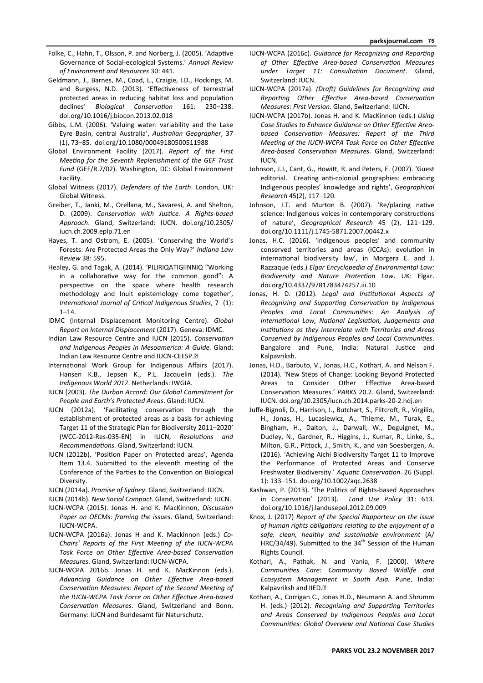- Folke, C., Hahn, T., Olsson, P. and Norberg, J. (2005). 'Adaptive Governance of Social-ecological Systems.' *Annual Review of Environment and Resources* 30: 441.
- Geldmann, J., Barnes, M., Coad, L., Craigie, I.D., Hockings, M. and Burgess, N.D. (2013). 'Effectiveness of terrestrial protected areas in reducing habitat loss and population declines' *Biological ConservaƟon* 161: 230–238. doi.org/10.1016/j.biocon.2013.02.018
- Gibbs, L.M. (2006). 'Valuing water: variability and the Lake Eyre Basin, central Australia', *Australian Geographer*, 37 (1), 73–85. doi.org/10.1080/00049180500511988
- Global Environment Facility (2017). *Report of the First MeeƟng for the Seventh Replenishment of the GEF Trust Fund* (GEF/R.7/02). Washington, DC: Global Environment Facility.
- Global Witness (2017). *Defenders of the Earth*. London, UK: Global Witness.
- Greiber, T., Janki, M., Orellana, M., Savaresi, A. and Shelton, D. (2009). *ConservaƟon with JusƟce. A Rights‐based Approach*. Gland, Switzerland: IUCN. doi.org/10.2305/ iucn.ch.2009.eplp.71.en
- Hayes, T. and Ostrom, E. (2005). 'Conserving the World's Forests: Are Protected Areas the Only Way?' *Indiana Law Review* 38: 595.
- Healey, G. and Tagak, A. (2014). 'PILIRIQATIGIINNIQ "Working in a collaborative way for the common good": A perspective on the space where health research methodology and Inuit epistemology come together', *InternaƟonal Journal of CriƟcal Indigenous Studies*, 7 (1): 1–14.
- IDMC (Internal Displacement Monitoring Centre). *Global Report on Internal Displacement* (2017). Geneva: IDMC.
- Indian Law Resource Centre and IUCN (2015). Conservation *and Indigenous Peoples in Mesoamerica: A Guide.* Gland: Indian Law Resource Centre and IUCN-CEESP.<sup>[9]</sup>
- International Work Group for Indigenous Affairs (2017). Hansen K.B., Jepsen K., P.L. Jacquelin (eds.). *The Indigenous World 2017*. Netherlands: IWGIA.
- IUCN (2003). *The Durban Accord: Our Global Commitment for People and Earth's Protected Areas*. Gland: IUCN.
- IUCN (2012a). 'Facilitating conservation through the establishment of protected areas as a basis for achieving Target 11 of the Strategic Plan for Biodiversity 2011–2020' (WCC-2012-Res-035-EN) in IUCN, Resolutions and *RecommendaƟons.* Gland, Switzerland: IUCN.
- IUCN (2012b). 'Position Paper on Protected areas', Agenda Item 13.4. Submitted to the eleventh meeting of the Conference of the Parties to the Convention on Biological Diversity.
- IUCN (2014a). *Promise of Sydney*. Gland, Switzerland: IUCN.
- IUCN (2014b). *New Social Compact*. Gland, Switzerland: IUCN.
- IUCN-WCPA (2015). Jonas H. and K. MacKinnon, *Discussion Paper on OECMs: framing the issues*. Gland, Switzerland: IUCN-WCPA.
- IUCN-WCPA (2016a). Jonas H and K. Mackinnon (eds.) *Co‐ Chairs' Reports of the First MeeƟng of the IUCN‐WCPA*  Task Force on Other Effective Area-based Conservation *Measures*. Gland, Switzerland: IUCN-WCPA.
- IUCN-WCPA 2016b. Jonas H. and K. MacKinnon (eds.). Advancing Guidance on Other Effective Area-based Conservation Measures: Report of the Second Meeting of the IUCN-WCPA Task Force on Other Effective Area-based *ConservaƟon Measures*. Gland, Switzerland and Bonn, Germany: IUCN and Bundesamt für Naturschutz.
- IUCN-WCPA (2016c). Guidance for Recognizing and Reporting of Other Effective Area-based Conservation Measures *under Target 11: ConsultaƟon Document*. Gland, Switzerland: IUCN.
- IUCN-WCPA (2017a). *(Draft) Guidelines for Recognizing and ReporƟng Other EffecƟve Area‐based ConservaƟon Measures: First Version*. Gland, Switzerland: IUCN.
- IUCN-WCPA (2017b). Jonas H. and K. MacKinnon (eds.) *Using*  Case Studies to Enhance Guidance on Other Effective Areabased Conservation Measures: Report of the Third *Meeting of the IUCN-WCPA Task Force on Other Effective Area‐based ConservaƟon Measures*. Gland, Switzerland: IUCN.
- Johnson, J.J., Cant, G., Howitt, R. and Peters, E. (2007). 'Guest editorial. Creating anti-colonial geographies: embracing Indigenous peoples' knowledge and rights', *Geographical Research* 45(2), 117–120.
- Johnson, J.T. and Murton B. (2007). 'Re/placing native science: Indigenous voices in contemporary constructions of nature', *Geographical Research* 45 (2), 121–129. doi.org/10.1111/j.1745-5871.2007.00442.x
- Jonas, H.C. (2016). 'Indigenous peoples' and community conserved territories and areas (ICCAs): evolution in international biodiversity law', in Morgera E. and J. Razzaque (eds.) *Elgar Encyclopedia of Environmental Law: Biodiversity and Nature ProtecƟon Law*. UK: Elgar. doi.org/10.4337/9781783474257.iii.10
- Jonas, H. D. (2012). *Legal and Institutional Aspects of Recognizing and SupporƟng ConservaƟon by Indigenous*  Peoples and Local Communities: An Analysis of *InternaƟonal Law, NaƟonal LegislaƟon, Judgements and InsƟtuƟons as they Interrelate with Territories and Areas*  Conserved by Indigenous Peoples and Local Communities. Bangalore and Pune, India: Natural Justice and Kalpavriksh.
- Jonas, H.D., Barbuto, V., Jonas, H.C., Kothari, A. and Nelson F. (2014). 'New Steps of Change: Looking Beyond Protected Areas to Consider Other Effective Area-based ConservaƟon Measures.' *PARKS* 20.2. Gland, Switzerland: IUCN. doi.org/10.2305/iucn.ch.2014.parks-20-2.hdj.en
- Juffe-Bignoli, D., Harrison, I., Butchart, S., Flitcroft, R., Virgilio, H., Jonas, H., Lucasiewicz, A., Thieme, M., Turak, E., Bingham, H., Dalton, J., Darwall, W., Deguignet, M., Dudley, N., Gardner, R., Higgins, J., Kumar, R., Linke, S., Milton, G.R., Pittock, J., Smith, K., and van Soesbergen, A. (2016). 'Achieving Aichi Biodiversity Target 11 to Improve the Performance of Protected Areas and Conserve Freshwater Biodiversity.' *AquaƟc ConservaƟon*. 26 (Suppl. 1): 133–151. doi.org/10.1002/aqc.2638
- Kashwan, P. (2013). 'The Politics of Rights-based Approaches in Conservation' (2013). Land Use Policy 31: 613. doi.org/10.1016/j.landusepol.2012.09.009
- Knox, J. (2017) *Report of the Special Rapporteur on the issue of human rights obligaƟons relaƟng to the enjoyment of a safe, clean, healthy and sustainable environment* (A/ HRC/34/49). Submitted to the 34<sup>th</sup> Session of the Human Rights Council.
- Kothari, A., Pathak, N. and Vania, F. (2000). *Where CommuniƟes Care: Community Based Wildlife and Ecosystem Management in South Asia.* Pune, India: Kalpavriksh and IIED.
- Kothari, A., Corrigan C., Jonas H.D., Neumann A. and Shrumm H. (eds.) (2012). *Recognising and Supporting Territories and Areas Conserved by Indigenous Peoples and Local CommuniƟes: Global Overview and NaƟonal Case Studies*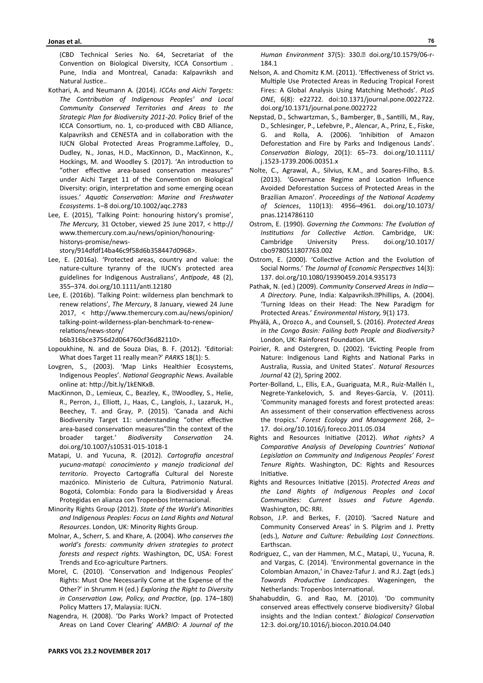(CBD Technical Series No. 64, Secretariat of the Convention on Biological Diversity, ICCA Consortium . Pune, India and Montreal, Canada: Kalpavriksh and Natural Justice..

- Kothari, A. and Neumann A. (2014). *ICCAs and Aichi Targets: The ContribuƟon of Indigenous Peoples' and Local Community Conserved Territories and Areas to the Strategic Plan for Biodiversity 2011‐20*. Policy Brief of the ICCA Consortium, no. 1, co-produced with CBD Alliance, Kalpavriksh and CENESTA and in collaboration with the IUCN Global Protected Areas Programme.Laffoley, D., Dudley, N., Jonas, H.D., MacKinnon, D., MacKinnon, K., Hockings, M. and Woodley S. (2017). 'An introduction to "other effective area-based conservation measures" under Aichi Target 11 of the Convention on Biological Diversity: origin, interpretation and some emerging ocean issues.' *AquaƟc ConservaƟon: Marine and Freshwater Ecosystems*. 1–8 doi.org/10.1002/aqc.2783
- Lee, E. (2015), 'Talking Point: honouring history's promise', *The Mercury,* 31 October, viewed 25 June 2017, < hƩp:// www.themercury.com.au/news/opinion/honouringhistorys-promise/news-

story/914dfdf14ba46c9f58d6b358447d0968>.

- Lee, E. (2016a). 'Protected areas, country and value: the nature-culture tyranny of the IUCN's protected area guidelines for Indigenous Australians', *AnƟpode*, 48 (2), 355–374. doi.org/10.1111/anƟ.12180
- Lee, E. (2016b). 'Talking Point: wilderness plan benchmark to renew relations', The Mercury, 8 January, viewed 24 June 2017, < hƩp://www.themercury.com.au/news/opinion/ talking-point-wilderness-plan-benchmark-to-renewrelations/news-story/

b6b316bce3756d2d064760cf36d82110>.

- Lopoukhine, N. and de Souza Dias, B. F. (2012). ʻEditorial: What does Target 11 really mean?' *PARKS* 18(1): 5.
- Lovgren, S., (2003). 'Map Links Healthier Ecosystems, Indigenous Peoples'. *National Geographic News*. Available online at: hƩp://bit.ly/1kENKxB.
- MacKinnon, D., Lemieux, C., Beazley, K., Woodley, S., Helie, R., Perron, J., Elliott, J., Haas, C., Langlois, J., Lazaruk, H., Beechey, T. and Gray, P. (2015). 'Canada and Aichi Biodiversity Target 11: understanding "other effective area-based conservation measures"<sup>[1]</sup>in the context of the broader target.' *Biodiversity ConservaƟon* 24. doi.org/10.1007/s10531-015-1018-1
- Matapi, U. and Yucuna, R. (2012). *Cartograİa ancestral yucuna‐matapí: conocimiento y manejo tradicional del*  territorio. Proyecto Cartografía Cultural del Noreste mazónico. Ministerio de Cultura, Patrimonio Natural. Bogotá, Colombia: Fondo para la Biodiversidad y Áreas Protegidas en alianza con Tropenbos Internacional.
- Minority Rights Group (2012). State of the World's Minorities *and Indigenous Peoples: Focus on Land Rights and Natural Resources*. London, UK: Minority Rights Group.
- Molnar, A., Scherr, S. and Khare, A. (2004). *Who conserves the world's forests: community driven strategies to protect forests and respect rights.* Washington, DC, USA: Forest Trends and Eco-agriculture Partners.
- Morel, C. (2010). 'Conservation and Indigenous Peoples' Rights: Must One Necessarily Come at the Expense of the Other?' in Shrumm H (ed.) *Exploring the Right to Diversity*  in Conservation Law, Policy, and Practice, (pp. 174-180) Policy Matters 17, Malaysia: IUCN.
- Nagendra, H. (2008). 'Do Parks Work? Impact of Protected Areas on Land Cover Clearing' *AMBIO: A Journal of the*

*Human Environment* 37(5): 330. doi.org/10.1579/06-r-184.1

- Nelson, A. and Chomitz K.M. (2011). 'Effectiveness of Strict vs. Multiple Use Protected Areas in Reducing Tropical Forest Fires: A Global Analysis Using Matching Methods'. *PLoS ONE*, 6(8): e22722. doi:10.1371/journal.pone.0022722. doi.org/10.1371/journal.pone.0022722
- Nepstad, D., Schwartzman, S., Bamberger, B., Santilli, M., Ray, D., Schlesinger, P., Lefebvre, P., Alencar, A., Prinz, E., Fiske, G. and Rolla, A. (2006). 'Inhibition of Amazon Deforestation and Fire by Parks and Indigenous Lands'. *ConservaƟon Biology*, 20(1): 65–73. doi.org/10.1111/ j.1523-1739.2006.00351.x
- Nolte, C., Agrawal, A., Silvius, K.M., and Soares-Filho, B.S. (2013). 'Governance Regime and Location Influence Avoided Deforestation Success of Protected Areas in the Brazilian Amazon'. *Proceedings of the National Academy of Sciences*, 110(13): 4956–4961. doi.org/10.1073/ pnas.1214786110
- Ostrom, E. (1990). Governing the Commons: The Evolution of *Institutions for Collective Action.* Cambridge, UK: Cambridge University Press. doi.org/10.1017/ cbo9780511807763.002
- Ostrom, E. (2000). 'Collective Action and the Evolution of Social Norms.' The Journal of Economic Perspectives 14(3): 137. doi.org/10.1080/19390459.2014.935173
- Pathak, N. (ed.) (2009). *Community Conserved Areas in India— A Directory. Pune, India: Kalpavriksh.*<sup>[2]</sup>Phillips, A. (2004). 'Turning Ideas on their Head: The New Paradigm for Protected Areas.' *Environmental History,* 9(1) 173.
- Phyälä, A., Orozco A., and Counsell, S. (2016). *Protected Areas in the Congo Basin: Failing both People and Biodiversity?* London, UK: Rainforest Foundation UK.
- Poirier, R. and Ostergren, D. (2002). 'Evicting People from Nature: Indigenous Land Rights and National Parks in Australia, Russia, and United States'. *Natural Resources Journal* 42 (2), Spring 2002.
- Porter-Bolland, L., Ellis, E.A., Guariguata, M.R., Ruiz-Mallén I., Negrete-Yankelovich, S. and Reyes-García, V. (2011). 'Community managed forests and forest protected areas: An assessment of their conservation effectiveness across the tropics.' *Forest Ecology and Management* 268, 2– 17. doi.org/10.1016/j.foreco.2011.05.034
- Rights and Resources Initiative (2012). What rights? A *ComparaƟve Analysis of Developing Countries' NaƟonal LegislaƟon on Community and Indigenous Peoples' Forest Tenure Rights*. Washington, DC: Rights and Resources Initiative.
- Rights and Resources Initiative (2015). Protected Areas and *the Land Rights of Indigenous Peoples and Local CommuniƟes: Current Issues and Future Agenda*. Washington, DC: RRI.
- Robson, J.P. and Berkes, F. (2010). 'Sacred Nature and Community Conserved Areas' in S. Pilgrim and J. Pretty (eds.), Nature and Culture: Rebuilding Lost Connections. Earthscan.
- Rodriguez, C., van der Hammen, M.C., Matapi, U., Yucuna, R. and Vargas, C. (2014). 'Environmental governance in the Colombian Amazon,' in Chavez-Tafur J. and R.J. Zagt (eds.) Towards Productive Landscapes. Wageningen, the Netherlands: Tropenbos International.
- Shahabuddin, G. and Rao, M. (2010). 'Do community conserved areas effectively conserve biodiversity? Global insights and the Indian context.' Biological Conservation 12:3. doi.org/10.1016/j.biocon.2010.04.040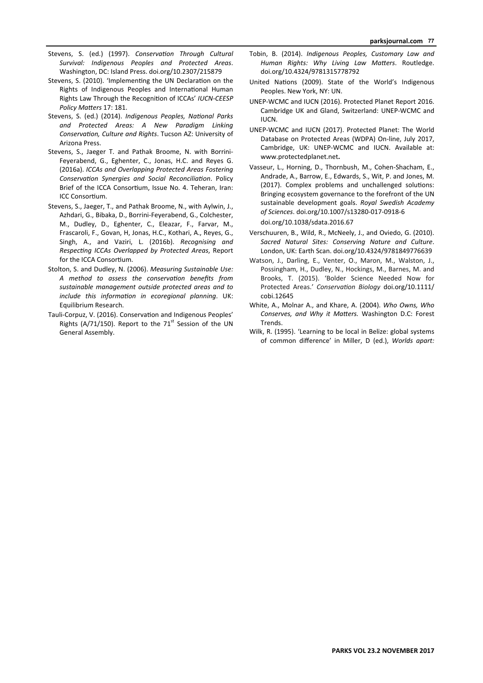- Stevens, S. (ed.) (1997). *Conservation Through Cultural Survival: Indigenous Peoples and Protected Areas*. Washington, DC: Island Press. doi.org/10.2307/215879
- Stevens, S. (2010). 'Implementing the UN Declaration on the Rights of Indigenous Peoples and International Human Rights Law Through the RecogniƟon of ICCAs' *IUCN‐CEESP Policy MaƩers* 17: 181.
- Stevens, S. (ed.) (2014). *Indigenous Peoples, National Parks and Protected Areas: A New Paradigm Linking ConservaƟon, Culture and Rights*. Tucson AZ: University of Arizona Press.
- Stevens, S., Jaeger T. and Pathak Broome, N. with Borrini-Feyerabend, G., Eghenter, C., Jonas, H.C. and Reyes G. (2016a). *ICCAs and Overlapping Protected Areas Fostering ConservaƟon Synergies and Social ReconciliaƟon*. Policy Brief of the ICCA Consortium, Issue No. 4. Teheran, Iran: ICC ConsorƟum.
- Stevens, S., Jaeger, T., and Pathak Broome, N., with Aylwin, J., Azhdari, G., Bibaka, D., Borrini-Feyerabend, G., Colchester, M., Dudley, D., Eghenter, C., Eleazar, F., Farvar, M., Frascaroli, F., Govan, H, Jonas, H.C., Kothari, A., Reyes, G., Singh, A., and Vaziri, L. (2016b). *Recognising and RespecƟng ICCAs Overlapped by Protected Areas*, Report for the ICCA Consortium.
- Stolton, S. and Dudley, N. (2006). *Measuring Sustainable Use: A method to assess the conservaƟon benefits from sustainable management outside protected areas and to include this information in ecoregional planning.* UK: Equilibrium Research.
- Tauli-Corpuz, V. (2016). Conservation and Indigenous Peoples' Rights (A/71/150). Report to the  $71<sup>st</sup>$  Session of the UN General Assembly.
- Tobin, B. (2014). *Indigenous Peoples, Customary Law and Human Rights: Why Living Law MaƩers*. Routledge. doi.org/10.4324/9781315778792
- United Nations (2009). State of the World's Indigenous Peoples. New York, NY: UN.
- UNEP-WCMC and IUCN (2016). Protected Planet Report 2016. Cambridge UK and Gland, Switzerland: UNEP-WCMC and IUCN.
- UNEP-WCMC and IUCN (2017). Protected Planet: The World Database on Protected Areas (WDPA) On-line, July 2017, Cambridge, UK: UNEP-WCMC and IUCN. Available at: www.protectedplanet.net**.**
- Vasseur, L., Horning, D., Thornbush, M., Cohen-Shacham, E., Andrade, A., Barrow, E., Edwards, S., Wit, P. and Jones, M. (2017). Complex problems and unchallenged solutions: Bringing ecosystem governance to the forefront of the UN sustainable development goals. *Royal Swedish Academy of Sciences*. doi.org/10.1007/s13280-017-0918-6 doi.org/10.1038/sdata.2016.67
- Verschuuren, B., Wild, R., McNeely, J., and Oviedo, G. (2010). *Sacred Natural Sites: Conserving Nature and Culture*. London, UK: Earth Scan. doi.org/10.4324/9781849776639
- Watson, J., Darling, E., Venter, O., Maron, M., Walston, J., Possingham, H., Dudley, N., Hockings, M., Barnes, M. and Brooks, T. (2015). 'Bolder Science Needed Now for Protected Areas.' *ConservaƟon Biology* doi.org/10.1111/ cobi.12645
- White, A., Molnar A., and Khare, A. (2004). *Who Owns, Who Conserves, and Why it MaƩers.* Washington D.C: Forest Trends.
- Wilk, R. (1995). 'Learning to be local in Belize: global systems of common difference' in Miller, D (ed.), *Worlds apart:*